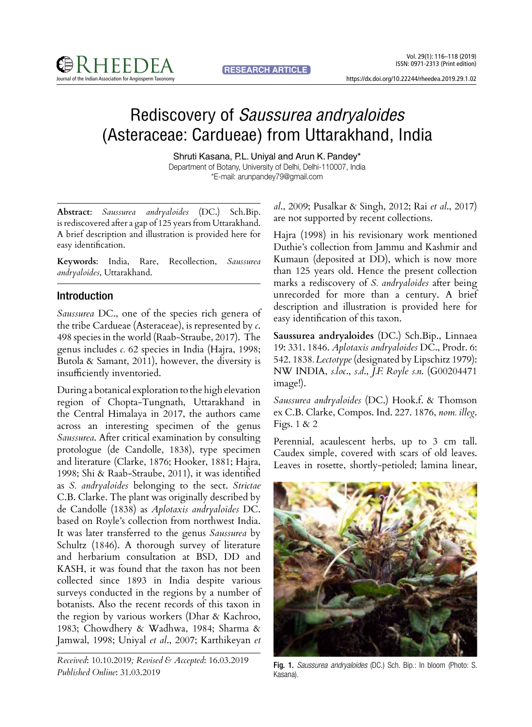https://dx.doi.org/10.22244/rheedea.2019.29.1.02

# Rediscovery of *Saussurea andryaloides* (Asteraceae: Cardueae) from Uttarakhand, India

Shruti Kasana, P.L. Uniyal and Arun K. Pandey\* Department of Botany, University of Delhi, Delhi-110007, India \*E-mail: arunpandey79@gmail.com

**Abstract**: *Saussurea andryaloides* (DC.) Sch.Bip. is rediscovered after a gap of 125 years from Uttarakhand. A brief description and illustration is provided here for easy identification.

**Keywords**: India, Rare, Recollection, *Saussurea andryaloides*, Uttarakhand.

## Introduction

*Saussurea* DC., one of the species rich genera of the tribe Cardueae (Asteraceae), is represented by *c*. 498 species in the world (Raab-Straube, 2017). The genus includes *c.* 62 species in India (Hajra, 1998; Butola & Samant, 2011), however, the diversity is insufficiently inventoried.

During a botanical exploration to the high elevation region of Chopta-Tungnath, Uttarakhand in the Central Himalaya in 2017, the authors came across an interesting specimen of the genus *Saussurea*. After critical examination by consulting protologue (de Candolle, 1838), type specimen and literature (Clarke, 1876; Hooker, 1881; Hajra, 1998; Shi & Raab-Straube, 2011), it was identified as *S. andryaloides* belonging to the sect. *Strictae* C.B. Clarke. The plant was originally described by de Candolle (1838) as *Aplotaxis andryaloides* DC. based on Royle's collection from northwest India. It was later transferred to the genus *Saussurea* by Schultz (1846). A thorough survey of literature and herbarium consultation at BSD, DD and KASH, it was found that the taxon has not been collected since 1893 in India despite various surveys conducted in the regions by a number of botanists. Also the recent records of this taxon in the region by various workers (Dhar & Kachroo, 1983; Chowdhery & Wadhwa, 1984; Sharma & Jamwal, 1998; Uniyal *et al*., 2007; Karthikeyan *et* 

*Received*: 10.10.2019*; Revised & Accepted*: 16.03.2019 *Published Online*: 31.03.2019

*al*., 2009; Pusalkar & Singh, 2012; Rai *et al*., 2017) are not supported by recent collections.

Hajra (1998) in his revisionary work mentioned Duthie's collection from Jammu and Kashmir and Kumaun (deposited at DD), which is now more than 125 years old. Hence the present collection marks a rediscovery of *S. andryaloides* after being unrecorded for more than a century. A brief description and illustration is provided here for easy identification of this taxon.

**Saussurea andryaloides** (DC.) Sch.Bip., Linnaea 19: 331. 1846. *Aplotaxis andryaloides* DC., Prodr. 6: 542. 1838*. Lectotype* (designated by Lipschitz 1979): NW INDIA, *s.loc*., *s.d*., *J.F. Royle s.n*. (G00204471 image!).

*Saussurea andryaloides* (DC.) Hook.f. & Thomson ex C.B. Clarke, Compos. Ind. 227. 1876, *nom. illeg*. Figs. 1 & 2

Perennial, acaulescent herbs, up to 3 cm tall. Caudex simple, covered with scars of old leaves. Leaves in rosette, shortly-petioled; lamina linear,



Fig. 1. *Saussurea andryaloides* (DC.) Sch. Bip.: In bloom (Photo: S. Kasana).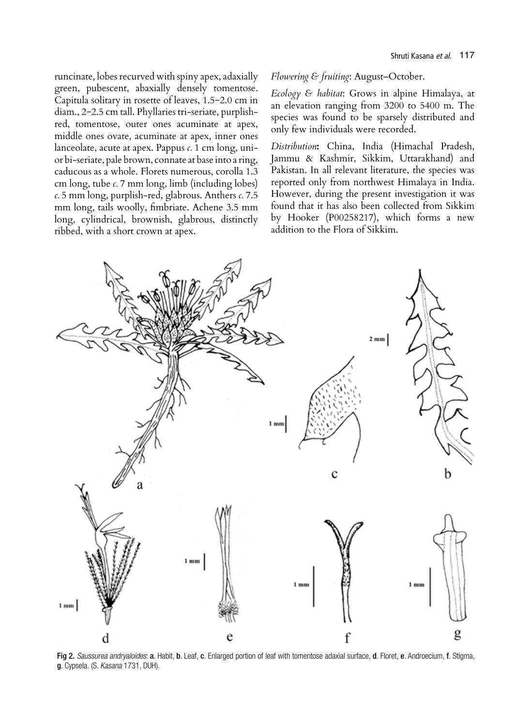runcinate, lobes recurved with spiny apex, adaxially green, pubescent, abaxially densely tomentose. Capitula solitary in rosette of leaves, 1.5−2.0 cm in diam., 2−2.5 cm tall. Phyllaries tri-seriate, purplishred, tomentose, outer ones acuminate at apex, middle ones ovate, acuminate at apex, inner ones lanceolate, acute at apex. Pappus *c.* 1 cm long, unior bi-seriate, pale brown, connate at base into a ring, caducous as a whole. Florets numerous, corolla 1.3 cm long, tube *c.* 7 mm long, limb (including lobes) *c.* 5 mm long, purplish-red, glabrous. Anthers *c.* 7.5 mm long, tails woolly, fimbriate. Achene 3.5 mm long, cylindrical, brownish, glabrous, distinctly ribbed, with a short crown at apex.

*Flowering & fruiting*: August–October.

*Ecology & habitat*: Grows in alpine Himalaya, at an elevation ranging from 3200 to 5400 m. The species was found to be sparsely distributed and only few individuals were recorded.

*Distribution***:** China, India (Himachal Pradesh, Jammu & Kashmir, Sikkim, Uttarakhand) and Pakistan. In all relevant literature, the species was reported only from northwest Himalaya in India. However, during the present investigation it was found that it has also been collected from Sikkim by Hooker (P00258217), which forms a new addition to the Flora of Sikkim.



Fig 2. *Saussurea andryaloides*: a. Habit, b. Leaf, c. Enlarged portion of leaf with tomentose adaxial surface, d. Floret, e. Androecium, f. Stigma, g. Cypsela. (S. *Kasana* 1731, DUH).